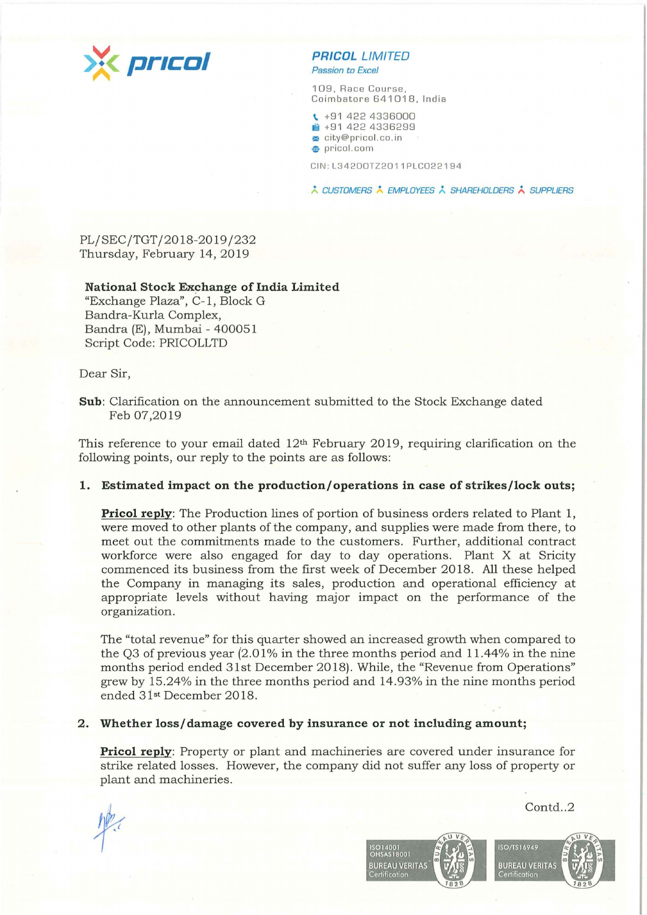

*Passion to Excel* 

109, Race Course, Coimbatore 641018, India

\ +91 422 4336000 **lfm** +91 422 4336299 **!:l** city@pricol.co.in **e** pricol.com

CIN:L 34200TZ2011PLC022194

\* CUSTOMERS \* EMPLOYEES \* SHAREHOLDERS \* SUPPLIERS

PL/SEC/TGT / 2018-2019 /232 Thursday, February 14, 2019

#### **National Stock Exchange of India Limited**

"Exchange Plaza", C-1, Block G Bandra-Kurla Complex, Bandra (E), Mumbai - 400051 Script Code: PRICOLLTD

Dear Sir,

This reference to your email dated  $12<sup>th</sup>$  February 2019, requiring clarification on the following points, our reply to the points are as follows:

## **1. Estimated impact on the production/ operations in case of strikes/ lock outs;**

**Pricol reply**: The Production lines of portion of business orders related to Plant 1, were moved to other plants of the company, and supplies were made from there, to meet out the commitments made to the customers. Further, additional contract workforce were also engaged for day to day operations. Plant X at Sricity commenced its business from the first week of December 2018 . All these helped the Company in managing its sales, production and operational efficiency at appropriate levels without having major impact on the performance of the organization.

The "total revenue" for this quarter showed an increased growth when compared to the Q3 of previous year  $(2.01\%$  in the three months period and 11.44% in the nine months period ended 31st December 2018). While, the "Revenue from Operations" grew by 15.24% in the three months period and 14.93% in the nine months period ended 31st December 2018.

# **2. Whether loss/ damage covered by insurance or not including amount;**

**Pricol reply:** Property or plant and machineries are covered under insurance for strike related losses. However, the company did not suffer any loss of property or plant and machineries.

**ISO14001 OHSAS18001** 



Contd..2

**Sub:** Clarification on the announcement submitted to the Stock Exchange dated Feb 07,2019